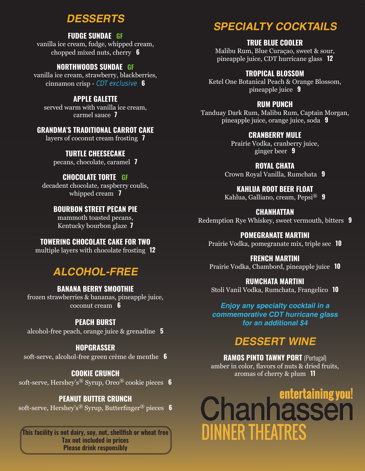# **DESSERTS**

#### **FUDGE SUNDAE GF**

vanilla ice cream, fudge, whipped cream, chopped mixed nuts, cherry **6**

#### **NORTHWOODS SUNDAE GF**

vanilla ice cream, strawberry, blackberries, cinnamon crisp - **CDT exclusive 6**

**APPLE GALETTE** served warm with vanilla ice cream, carmel sauce **7**

## **GRANDMA'S TRADITIONAL CARROT CAKE**

layers of coconut cream frosting **7**

## **TURTLE CHEESECAKE**

pecans, chocolate, caramel **7**

# **CHOCOLATE TORTE GF**

decadent chocolate, raspberry coulis, whipped cream **7**

## **BOURBON STREET PECAN PIE**

mammoth toasted pecans, Kentucky bourbon glaze **7**

## **TOWERING CHOCOLATE CAKE FOR TWO**

multiple layers with chocolate frosting **12**

# **ALCOHOL-FREE**

#### **BANANA BERRY SMOOTHIE** frozen strawberries & bananas, pineapple juice, coconut cream **6**

## **PEACH BURST**

alcohol-free peach, orange juice & grenadine **5**

## **HOPGRASSER**

soft-serve, alcohol-free green crème de menthe **6**

## **COOKIE CRUNCH**

soft-serve, Hershey's® Syrup, Oreo® cookie pieces **6**

# **PEANUT BUTTER CRUNCH**

soft-serve, Hershey's® Syrup, Butterfinger® pieces **6**

**This facility is not dairy, soy, nut, shellfish or wheat free Tax not included in prices Please drink responsibly**

# **SPECIALTY COCKTAILS**

## **TRUE BLUE COOLER**

Malibu Rum, Blue Curaçao, sweet & sour, pineapple juice, CDT hurricane glass **12** 

## **TROPICAL BLOSSOM**

Ketel One Botanical Peach & Orange Blossom, pineapple juice **9**

## **RUM PUNCH**

Tanduay Dark Rum, Malibu Rum, Captain Morgan, pineapple juice, orange juice, soda **9**

## **CRANBERRY MULE**

Prairie Vodka, cranberry juice, ginger beer **9**

# **ROYAL CHATA**

Crown Royal Vanilla, Rumchata **9**

**KAHLUA ROOT BEER FLOAT** Kahlua, Galliano, cream, Pepsi® **9**

# **CHANHATTAN**

Redemption Rye Whiskey, sweet vermouth, bitters **9**

## **POMEGRANATE MARTINI**

Prairie Vodka, pomegranate mix, triple sec **10**

#### **FRENCH MARTINI**

Prairie Vodka, Chambord, pineapple juice **10**

## **RUMCHATA MARTINI**

Stoli Vanil Vodka, Rumchata, Frangelico **10** 

## **Enjoy any specialty cocktail in a commemorative CDT hurricane glass**

**for an additional \$4**

# **DESSERT WINE**

**RAMOS PINTO TAWNY PORT** (Portugal) amber in color, flavors of nuts & dried fruits, aromas of cherry & plum **11**

# **Chanhassen DINNER THEATRES**